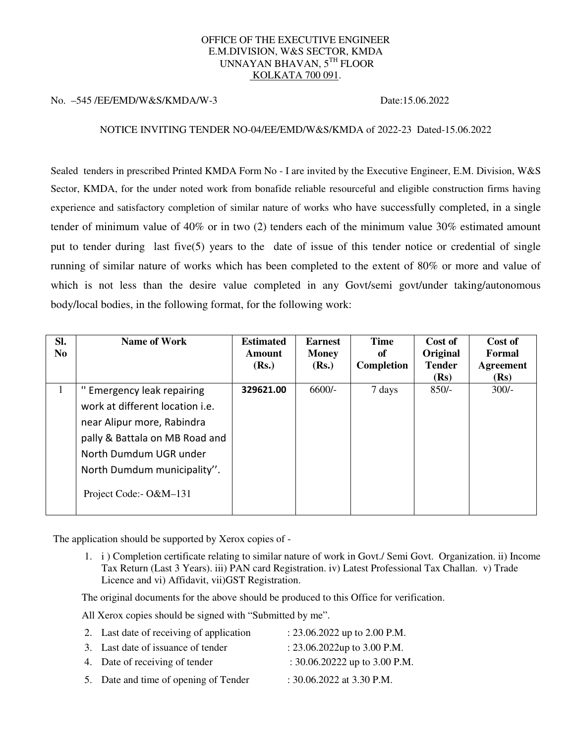## OFFICE OF THE EXECUTIVE ENGINEER E.M.DIVISION, W&S SECTOR, KMDA UNNAYAN BHAVAN, 5TH FLOOR KOLKATA 700 091.

## No. –545 /EE/EMD/W&S/KMDA/W-3 Date:15.06.2022

## NOTICE INVITING TENDER NO-04/EE/EMD/W&S/KMDA of 2022-23 Dated-15.06.2022

Sealed tenders in prescribed Printed KMDA Form No - I are invited by the Executive Engineer, E.M. Division, W&S Sector, KMDA, for the under noted work from bonafide reliable resourceful and eligible construction firms having experience and satisfactory completion of similar nature of works who have successfully completed, in a single tender of minimum value of 40% or in two (2) tenders each of the minimum value 30% estimated amount put to tender during last five(5) years to the date of issue of this tender notice or credential of single running of similar nature of works which has been completed to the extent of 80% or more and value of which is not less than the desire value completed in any Govt/semi govt/under taking/autonomous body/local bodies, in the following format, for the following work:

| SI.<br>No. | Name of Work                                                                                                                                                                                                                  | <b>Estimated</b><br><b>Amount</b><br>(Rs.) | <b>Earnest</b><br><b>Money</b><br>(Rs.) | <b>Time</b><br>of<br>Completion | Cost of<br>Original<br><b>Tender</b><br>(Rs) | Cost of<br>Formal<br><b>Agreement</b><br>(Rs) |
|------------|-------------------------------------------------------------------------------------------------------------------------------------------------------------------------------------------------------------------------------|--------------------------------------------|-----------------------------------------|---------------------------------|----------------------------------------------|-----------------------------------------------|
|            | <b>Emergency leak repairing</b><br>work at different location <i>i.e.</i><br>near Alipur more, Rabindra<br>pally & Battala on MB Road and<br>North Dumdum UGR under<br>North Dumdum municipality".<br>Project Code: - O&M-131 | 329621.00                                  | $6600/-$                                | 7 days                          | $850/-$                                      | $300/-$                                       |

The application should be supported by Xerox copies of -

1. i ) Completion certificate relating to similar nature of work in Govt./ Semi Govt. Organization. ii) Income Tax Return (Last 3 Years). iii) PAN card Registration. iv) Latest Professional Tax Challan. v) Trade Licence and vi) Affidavit, vii)GST Registration.

The original documents for the above should be produced to this Office for verification.

All Xerox copies should be signed with "Submitted by me".

| 2. Last date of receiving of application | : $23.06.2022$ up to 2.00 P.M.   |
|------------------------------------------|----------------------------------|
| 3. Last date of issuance of tender       | : $23.06.2022$ up to $3.00$ P.M. |
| 4. Date of receiving of tender           | : 30.06.20222 up to 3.00 P.M.    |
| 5. Date and time of opening of Tender    | : $30.06.2022$ at $3.30$ P.M.    |